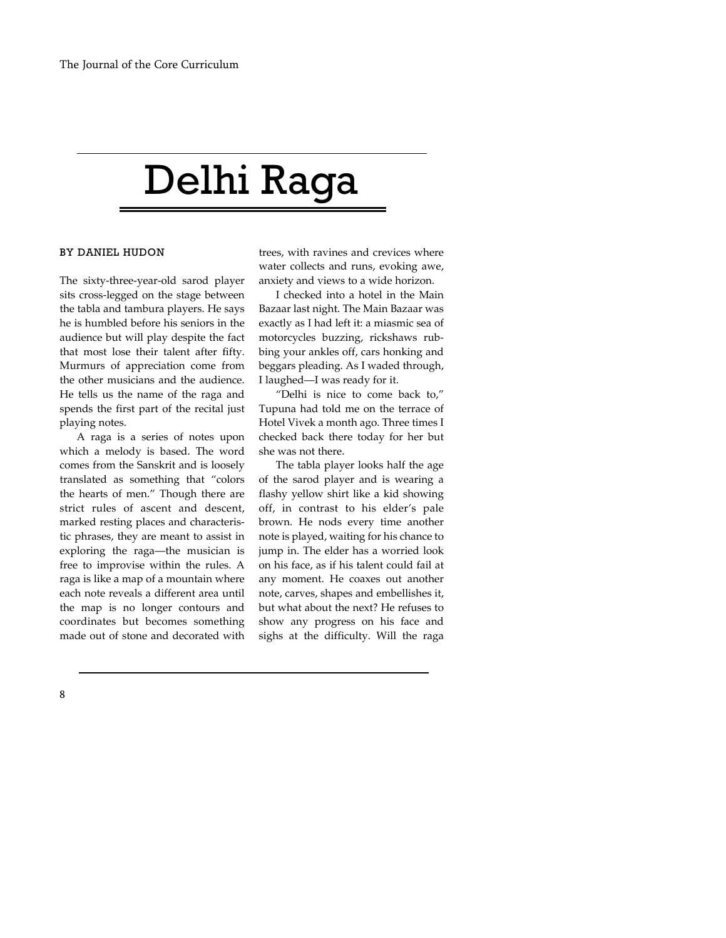## Delhi Raga

## BY DANIEL HUDON

The sixty-three-year-old sarod player sits cross-legged on the stage between the tabla and tambura players. He says he is humbled before his seniors in the audience but will play despite the fact that most lose their talent after fifty. Murmurs of appreciation come from the other musicians and the audience. He tells us the name of the raga and spends the first part of the recital just playing notes.

A raga is a series of notes upon which a melody is based. The word comes from the Sanskrit and is loosely translated as something that "colors the hearts of men." Though there are strict rules of ascent and descent, marked resting places and characteristic phrases, they are meant to assist in exploring the raga—the musician is free to improvise within the rules. A raga is like a map of a mountain where each note reveals a different area until the map is no longer contours and coordinates but becomes something made out of stone and decorated with trees, with ravines and crevices where water collects and runs, evoking awe, anxiety and views to a wide horizon.

I checked into a hotel in the Main Bazaar last night. The Main Bazaar was exactly as I had left it: a miasmic sea of motorcycles buzzing, rickshaws rubbing your ankles off, cars honking and beggars pleading. As I waded through, I laughed—I was ready for it.

"Delhi is nice to come back to," Tupuna had told me on the terrace of Hotel Vivek a month ago. Three times I checked back there today for her but she was not there.

The tabla player looks half the age of the sarod player and is wearing a flashy yellow shirt like a kid showing off, in contrast to his elder's pale brown. He nods every time another note is played, waiting for his chance to jump in. The elder has a worried look on his face, as if his talent could fail at any moment. He coaxes out another note, carves, shapes and embellishes it, but what about the next? He refuses to show any progress on his face and sighs at the difficulty. Will the raga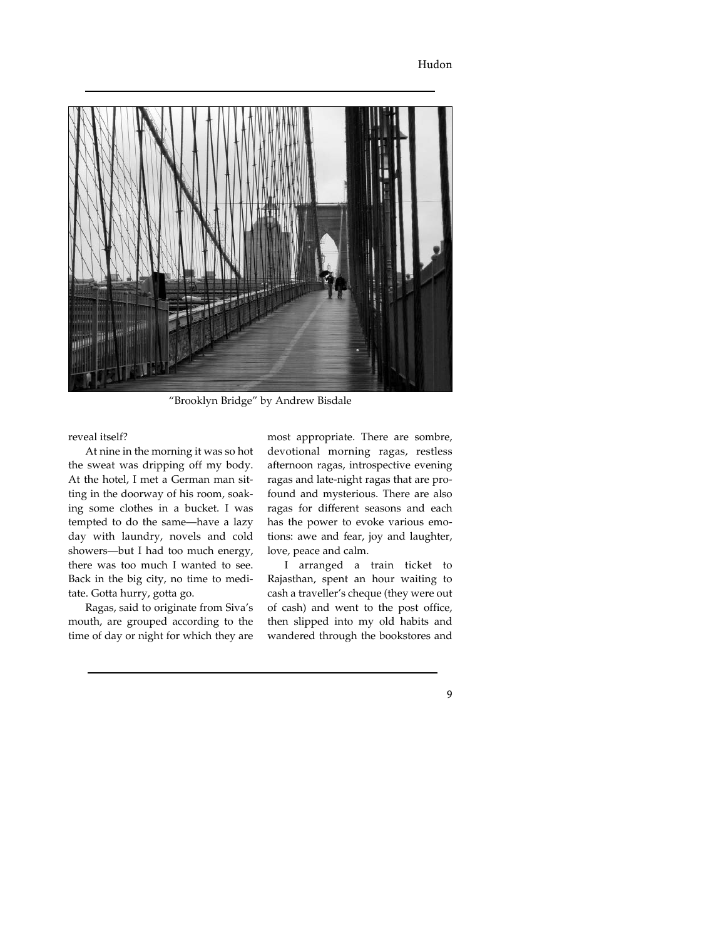

"Brooklyn Bridge" by Andrew Bisdale

reveal itself?

At nine in the morning it was so hot the sweat was dripping off my body. At the hotel, I met a German man sitting in the doorway of his room, soaking some clothes in a bucket. I was tempted to do the same—have a lazy day with laundry, novels and cold showers—but I had too much energy, there was too much I wanted to see. Back in the big city, no time to meditate. Gotta hurry, gotta go.

Ragas, said to originate from Siva's mouth, are grouped according to the time of day or night for which they are

most appropriate. There are sombre, devotional morning ragas, restless afternoon ragas, introspective evening ragas and late-night ragas that are profound and mysterious. There are also ragas for different seasons and each has the power to evoke various emotions: awe and fear, joy and laughter, love, peace and calm.

I arranged a train ticket to Rajasthan, spent an hour waiting to cash a traveller's cheque (they were out of cash) and went to the post office, then slipped into my old habits and wandered through the bookstores and